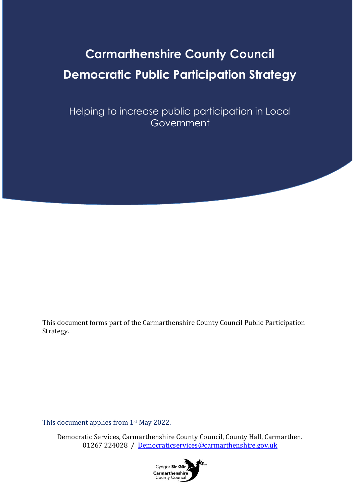# **Carmarthenshire County Council Democratic Public Participation Strategy**

Helping to increase public participation in Local Government

This document forms part of the Carmarthenshire County Council Public Participation Strategy.

This document applies from 1st May 2022.

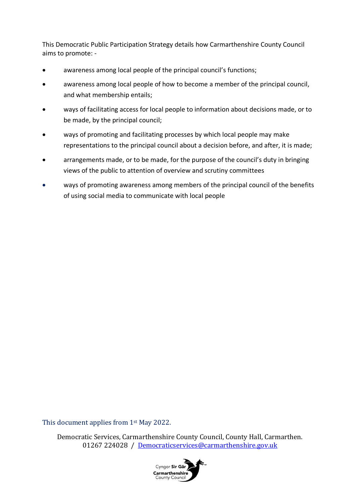This Democratic Public Participation Strategy details how Carmarthenshire County Council aims to promote: -

- awareness among local people of the principal council's functions;
- awareness among local people of how to become a member of the principal council, and what membership entails;
- ways of facilitating access for local people to information about decisions made, or to be made, by the principal council;
- ways of promoting and facilitating processes by which local people may make representations to the principal council about a decision before, and after, it is made;
- arrangements made, or to be made, for the purpose of the council's duty in bringing views of the public to attention of overview and scrutiny committees
- ways of promoting awareness among members of the principal council of the benefits of using social media to communicate with local people

This document applies from 1st May 2022.

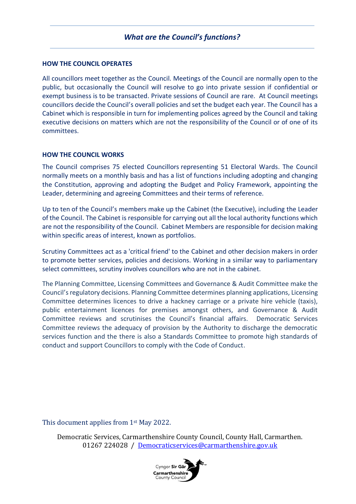#### **HOW THE COUNCIL OPERATES**

All councillors meet together as the Council. Meetings of the Council are normally open to the public, but occasionally the Council will resolve to go into private session if confidential or exempt business is to be transacted. Private sessions of Council are rare. At Council meetings councillors decide the Council's overall policies and set the budget each year. The Council has a Cabinet which is responsible in turn for implementing polices agreed by the Council and taking executive decisions on matters which are not the responsibility of the Council or of one of its committees.

#### **HOW THE COUNCIL WORKS**

The Council comprises 75 elected Councillors representing [51 Electoral Wards.](http://www.carmarthenshire.gov.wales/home/council-democracy/research-statistics/electoral-ward-county-profiles/) The Council normally meets on a monthly basis and has a list of functions including adopting and changing the Constitution, approving and adopting the Budget and Policy Framework, appointing the Leader, determining and agreeing Committees and their terms of reference.

Up to ten of the Council's members make up the Cabinet (the Executive), including the Leader of the Council. The Cabinet is responsible for carrying out all the local authority functions which are not the responsibility of the Council. Cabinet Members are responsible for decision making within specific areas of interest, known as portfolios.

Scrutiny Committees act as a 'critical friend' to the Cabinet and other decision makers in order to promote better services, policies and decisions. Working in a similar way to parliamentary select committees, scrutiny involves councillors who are not in the cabinet.

The Planning Committee, Licensing Committees and Governance & Audit Committee make the Council's regulatory decisions. Planning Committee determines planning applications, Licensing Committee determines licences to drive a hackney carriage or a private hire vehicle (taxis), public entertainment licences for premises amongst others, and Governance & Audit Committee reviews and scrutinises the Council's financial affairs. Democratic Services Committee reviews the adequacy of provision by the Authority to discharge the democratic services function and the there is also a Standards Committee to promote high standards of conduct and support Councillors to comply with the Code of Conduct.

#### This document applies from 1<sup>st</sup> May 2022.

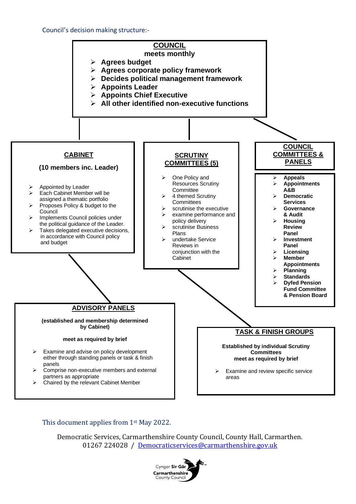#### Council's decision making structure:-



#### This document applies from 1st May 2022.

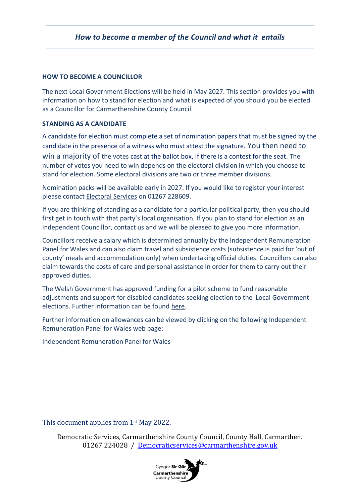#### **HOW TO BECOME A COUNCILLOR**

The next Local Government Elections will be held in May 2027. This section provides you with information on how to stand for election and what is expected of you should you be elected as a Councillor for Carmarthenshire County Council.

#### **STANDING AS A CANDIDATE**

A candidate for election must complete a set of nomination papers that must be signed by the candidate in the presence of a witness who must attest the signature. You then need to win a majority of the votes cast at the ballot box, if there is a contest for the seat. The number of votes you need to win depends on the electoral division in which you choose to stand for election. Some electoral divisions are two or three member divisions.

Nomination packs will be available early in 2027. If you would like to register your interest please contact [Electoral Services](https://www.carmarthenshire.gov.wales/home/council-democracy/elections-voting/) on 01267 228609.

If you are thinking of standing as a candidate for a particular political party, then you should first get in touch with that party's local organisation. If you plan to stand for election as an independent Councillor, contact us and we will be pleased to give you more information.

Councillors receive a salary which is determined annually by the Independent Remuneration Panel for Wales and can also claim travel and subsistence costs (subsistence is paid for 'out of county' meals and accommodation only) when undertaking official duties. Councillors can also claim towards the costs of care and personal assistance in order for them to carry out their approved duties.

The Welsh Government has approved funding for a pilot scheme to fund reasonable adjustments and support for disabled candidates seeking election to the Local Government elections. Further information can be found [here.](https://www.disabilitywales.org/projects/access-to-elected-office-fund-wales/)

Further information on allowances can be viewed by clicking on the following Independent Remuneration Panel for Wales web page:

[Independent Remuneration Panel for Wales](https://gov.wales/independent-remuneration-panel-wales)

This document applies from 1<sup>st</sup> May 2022.

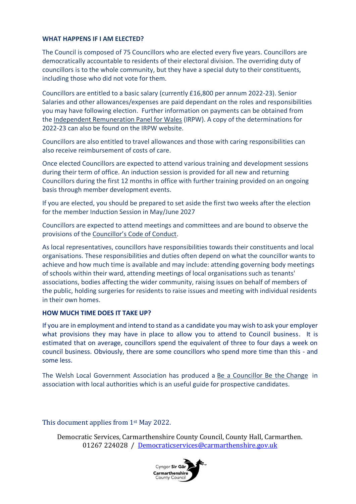#### **WHAT HAPPENS IF I AM ELECTED?**

The Council is composed of 75 Councillors who are elected every five years. Councillors are democratically accountable to residents of their electoral division. The overriding duty of councillors is to the whole community, but they have a special duty to their constituents, including those who did not vote for them.

Councillors are entitled to a basic salary (currently £16,800 per annum 2022-23). Senior Salaries and other allowances/expenses are paid dependant on the roles and responsibilities you may have following election. Further information on payments can be obtained from the [Independent Remuneration Panel for Wales](https://www.carmarthenshire.gov.wales/Independent%20Remuneration%20Panel%20for%20Wales.) (IRPW). A copy of the determinations for 2022-23 can also be found on the IRPW website.

Councillors are also entitled to travel allowances and those with caring responsibilities can also receive reimbursement of costs of care.

Once elected Councillors are expected to attend various training and development sessions during their term of office. An induction session is provided for all new and returning Councillors during the first 12 months in office with further training provided on an ongoing basis through member development events.

If you are elected, you should be prepared to set aside the first two weeks after the election for the member Induction Session in May/June 2027

Councillors are expected to attend meetings and committees and are bound to observe the provisions of the [Councillor's Code of Conduct](https://www.carmarthenshire.gov.wales/media/3218/part51.pdf).

As local representatives, councillors have responsibilities towards their constituents and local organisations. These responsibilities and duties often depend on what the councillor wants to achieve and how much time is available and may include: attending governing body meetings of schools within their ward, attending meetings of local organisations such as tenants' associations, bodies affecting the wider community, raising issues on behalf of members of the public, holding surgeries for residents to raise issues and meeting with individual residents in their own homes.

#### **HOW MUCH TIME DOES IT TAKE UP?**

If you are in employment and intend to stand as a candidate you may wish to ask your employer what provisions they may have in place to allow you to attend to Council business. It is estimated that on average, councillors spend the equivalent of three to four days a week on council business. Obviously, there are some councillors who spend more time than this - and some less.

The Welsh Local Government Association has produced a [Be a Councillor Be the](https://www.beacouncillor.wales/) Change in association with local authorities which is an useful guide for prospective candidates.

#### This document applies from 1<sup>st</sup> May 2022.

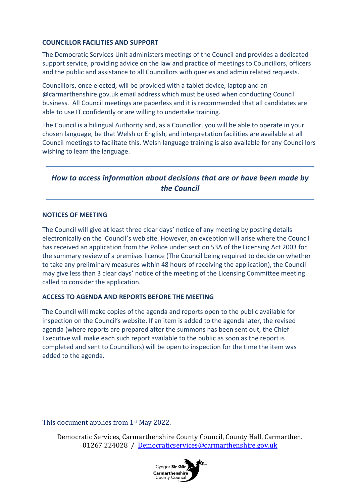#### **COUNCILLOR FACILITIES AND SUPPORT**

The Democratic Services Unit administers meetings of the Council and provides a dedicated support service, providing advice on the law and practice of meetings to Councillors, officers and the public and assistance to all Councillors with queries and admin related requests.

Councillors, once elected, will be provided with a tablet device, laptop and an @carmarthenshire.gov.uk email address which must be used when conducting Council business. All Council meetings are paperless and it is recommended that all candidates are able to use IT confidently or are willing to undertake training.

The Council is a bilingual Authority and, as a Councillor, you will be able to operate in your chosen language, be that Welsh or English, and interpretation facilities are available at all Council meetings to facilitate this. Welsh language training is also available for any Councillors wishing to learn the language.

# *How to access information about decisions that are or have been made by the Council*

#### **NOTICES OF MEETING**

The Council will give at least three clear days' notice of any meeting by posting details electronically on the Council's web site. However, an exception will arise where the Council has received an application from the Police under section 53A of the Licensing Act 2003 for the summary review of a premises licence (The Council being required to decide on whether to take any preliminary measures within 48 hours of receiving the application), the Council may give less than 3 clear days' notice of the meeting of the Licensing Committee meeting called to consider the application.

#### **ACCESS TO AGENDA AND REPORTS BEFORE THE MEETING**

The Council will make copies of the agenda and reports open to the public available for inspection on the Council's website. If an item is added to the agenda later, the revised agenda (where reports are prepared after the summons has been sent out, the Chief Executive will make each such report available to the public as soon as the report is completed and sent to Councillors) will be open to inspection for the time the item was added to the agenda.

#### This document applies from 1<sup>st</sup> May 2022.

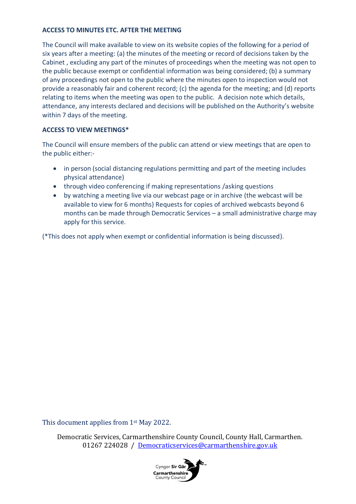#### **ACCESS TO MINUTES ETC. AFTER THE MEETING**

The Council will make available to view on its website copies of the following for a period of six years after a meeting: (a) the minutes of the meeting or record of decisions taken by the Cabinet , excluding any part of the minutes of proceedings when the meeting was not open to the public because exempt or confidential information was being considered; (b) a summary of any proceedings not open to the public where the minutes open to inspection would not provide a reasonably fair and coherent record; (c) the agenda for the meeting; and (d) reports relating to items when the meeting was open to the public. A decision note which details, attendance, any interests declared and decisions will be published on the Authority's website within 7 days of the meeting.

#### **ACCESS TO VIEW MEETINGS\***

The Council will ensure members of the public can attend or view meetings that are open to the public either:-

- in person (social distancing regulations permitting and part of the meeting includes physical attendance)
- through video conferencing if making representations /asking questions
- by watching a meeting live via our webcast page or in archive (the webcast will be available to view for 6 months) Requests for copies of archived webcasts beyond 6 months can be made through Democratic Services – a small administrative charge may apply for this service.

(\*This does not apply when exempt or confidential information is being discussed).

This document applies from 1<sup>st</sup> May 2022.

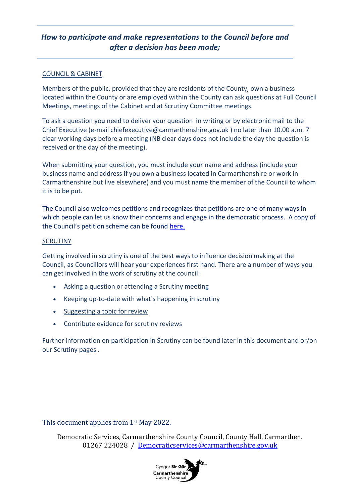# *How to participate and make representations to the Council before and after a decision has been made;*

#### COUNCIL & CABINET

Members of the public, provided that they are residents of the County, own a business located within the County or are employed within the County can ask questions at Full Council Meetings, meetings of the Cabinet and at Scrutiny Committee meetings.

To ask a question you need to deliver your question in writing or by electronic mail to the Chief Executive (e-mail [chiefexecutive@carmarthenshire.gov.uk](mailto:chiefexecutive@carmarthenshire.gov.uk) ) no later than 10.00 a.m. 7 clear working days before a meeting (NB clear days does not include the day the question is received or the day of the meeting).

When submitting your question, you must include your name and address (include your business name and address if you own a business located in Carmarthenshire or work in Carmarthenshire but live elsewhere) and you must name the member of the Council to whom it is to be put.

The Council also welcomes petitions and recognizes that petitions are one of many ways in which people can let us know their concerns and engage in the democratic process. A copy of the Council's petition scheme can be found [here.](https://democracy.carmarthenshire.gov.wales/documents/s60237/Petition%20Scheme.pdf)

#### **SCRUTINY**

Getting involved in scrutiny is one of the best ways to influence decision making at the Council, as Councillors will hear your experiences first hand. There are a number of ways you can get involved in the work of scrutiny at the council:

- Asking a question or attending a Scrutiny meeting
- Keeping up-to-date with what's happening in scrutiny
- [Suggesting a topic for review](https://www.carmarthenshire.gov.wales/media/1220848/scrutiny-topic-suggestion-form-pdf-version.pdf)
- Contribute evidence for scrutiny reviews

Further information on participation in Scrutiny can be found later in this document and or/on our [Scrutiny pages](https://www.carmarthenshire.gov.wales/home/council-democracy/committees-meetings/scrutiny/#.X8YlN577TIU) .

This document applies from 1st May 2022.

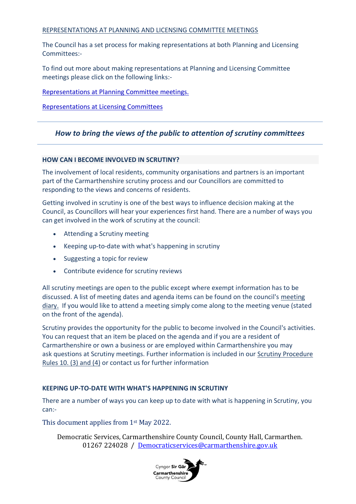#### REPRESENTATIONS AT PLANNING AND LICENSING COMMITTEE MEETINGS

The Council has a set process for making representations at both Planning and Licensing Committees:-

To find out more about making representations at Planning and Licensing Committee meetings please click on the following links:-

[Representations at Planning Committee meetings.](https://www.carmarthenshire.gov.wales/home/council-services/planning/)

[Representations at Licensing Committees](https://www.carmarthenshire.gov.wales/home/business/organising-events/community-toolkit/licensing-for-events/#.YeZ7bWjP3IU)

## *How to bring the views of the public to attention of scrutiny committees*

#### **HOW CAN I BECOME INVOLVED IN SCRUTINY?**

The involvement of local residents, community organisations and partners is an important part of the Carmarthenshire scrutiny process and our Councillors are committed to responding to the views and concerns of residents.

Getting involved in scrutiny is one of the best ways to influence decision making at the Council, as Councillors will hear your experiences first hand. There are a number of ways you can get involved in the work of scrutiny at the council:

- Attending a Scrutiny meeting
- Keeping up-to-date with what's happening in scrutiny
- Suggesting a topic for review
- Contribute evidence for scrutiny reviews

All scrutiny meetings are open to the public except where exempt information has to be discussed. A list of meeting dates and agenda items can be found on the council's [meeting](https://democracy.carmarthenshire.gov.wales/mgCalendarMonthView.aspx?GL=1&amp;bcr=1)  [diary.](https://democracy.carmarthenshire.gov.wales/mgCalendarMonthView.aspx?GL=1&amp;bcr=1) If you would like to attend a meeting simply come along to the meeting venue (stated on the front of the agenda).

Scrutiny provides the opportunity for the public to become involved in the Council's activities. You can request that an item be placed on the agenda and if you are a resident of Carmarthenshire or own a business or are employed within Carmarthenshire you may ask questions at Scrutiny meetings. Further information is included in our [Scrutiny Procedure](https://www.carmarthenshire.gov.wales/media/1223687/part4-5-scrutiny-procedure-rules-oct-20.pdf)  [Rules 10. \(3\)](https://www.carmarthenshire.gov.wales/media/1223687/part4-5-scrutiny-procedure-rules-oct-20.pdf) and (4) or contact us for further information

#### **KEEPING UP-TO-DATE WITH WHAT'S HAPPENING IN SCRUTINY**

There are a number of ways you can keep up to date with what is happening in Scrutiny, you can:-

This document applies from 1<sup>st</sup> May 2022.

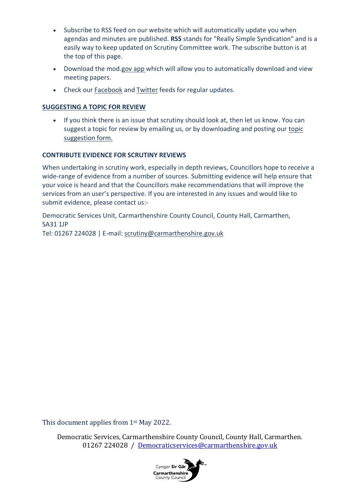- Subscribe to RSS feed on our website which will automatically update you when agendas and minutes are published. **RSS** stands for "Really Simple Syndication" and is a easily way to keep updated on Scrutiny Committee work. The subscribe button is at the top of this page.
- Download the mod[.gov app](https://www.moderngov.co.uk/our-solutions/tablet-app-paperless-meetings) which will allow you to automatically download and view meeting papers.
- Check our [Facebook](https://www.facebook.com/CarmsCouncil) and [Twitter](https://twitter.com/Carmscouncil) feeds for regular updates.

## **SUGGESTING A TOPIC FOR REVIEW**

• If you think there is an issue that scrutiny should look at, then let us know. You can suggest a topic for review by emailing us, or by downloading and posting our [topic](https://www.carmarthenshire.gov.wales/media/1220848/scrutiny-topic-suggestion-form-pdf-version.pdf)  [suggestion form.](https://www.carmarthenshire.gov.wales/media/1220848/scrutiny-topic-suggestion-form-pdf-version.pdf)

## **CONTRIBUTE EVIDENCE FOR SCRUTINY REVIEWS**

When undertaking in scrutiny work, especially in depth reviews, Councillors hope to receive a wide-range of evidence from a number of sources. Submitting evidence will help ensure that your voice is heard and that the Councillors make recommendations that will improve the services from an user's perspective. If you are interested in any issues and would like to submit evidence, please contact us:-

Democratic Services Unit, Carmarthenshire County Council, County Hall, Carmarthen, SA31 1JP Tel: 01267 224028 | E-mail: [scrutiny@carmarthenshire.gov.uk](mailto:scrutiny@carmarthenshire.gov.uk)

This document applies from 1st May 2022.